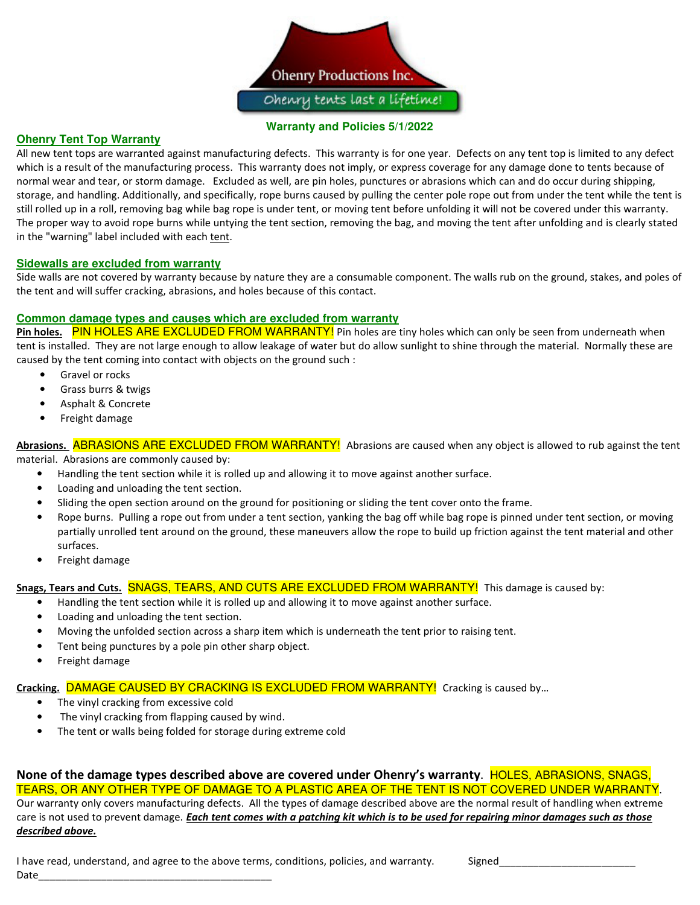

#### **Warranty and Policies 5/1/2022**

## **Ohenry Tent Top Warranty**

All new tent tops are warranted against manufacturing defects. This warranty is for one year. Defects on any tent top is limited to any defect which is a result of the manufacturing process. This warranty does not imply, or express coverage for any damage done to tents because of normal wear and tear, or storm damage. Excluded as well, are pin holes, punctures or abrasions which can and do occur during shipping, storage, and handling. Additionally, and specifically, rope burns caused by pulling the center pole rope out from under the tent while the tent is still rolled up in a roll, removing bag while bag rope is under tent, or moving tent before unfolding it will not be covered under this warranty. The proper way to avoid rope burns while untying the tent section, removing the bag, and moving the tent after unfolding and is clearly stated in the "warning" label included with each tent.

#### **Sidewalls are excluded from warranty**

Side walls are not covered by warranty because by nature they are a consumable component. The walls rub on the ground, stakes, and poles of the tent and will suffer cracking, abrasions, and holes because of this contact.

#### **Common damage types and causes which are excluded from warranty**

Pin holes. PIN HOLES ARE EXCLUDED FROM WARRANTY! Pin holes are tiny holes which can only be seen from underneath when tent is installed. They are not large enough to allow leakage of water but do allow sunlight to shine through the material. Normally these are caused by the tent coming into contact with objects on the ground such :

- Gravel or rocks
- Grass burrs & twigs
- Asphalt & Concrete
- Freight damage

Abrasions. **ABRASIONS ARE EXCLUDED FROM WARRANTY!** Abrasions are caused when any object is allowed to rub against the tent material. Abrasions are commonly caused by:

- Handling the tent section while it is rolled up and allowing it to move against another surface.
- Loading and unloading the tent section.
- Sliding the open section around on the ground for positioning or sliding the tent cover onto the frame.
- Rope burns. Pulling a rope out from under a tent section, yanking the bag off while bag rope is pinned under tent section, or moving partially unrolled tent around on the ground, these maneuvers allow the rope to build up friction against the tent material and other surfaces.
- Freight damage

#### **Snags, Tears and Cuts.** SNAGS, TEARS, AND CUTS ARE EXCLUDED FROM WARRANTY! This damage is caused by:

- Handling the tent section while it is rolled up and allowing it to move against another surface.
- Loading and unloading the tent section.
- Moving the unfolded section across a sharp item which is underneath the tent prior to raising tent.
- Tent being punctures by a pole pin other sharp object.
- Freight damage

#### **Cracking.** DAMAGE CAUSED BY CRACKING IS EXCLUDED FROM WARRANTY! Cracking is caused by…

- The vinyl cracking from excessive cold
- The vinyl cracking from flapping caused by wind.
- The tent or walls being folded for storage during extreme cold

**None of the damage types described above are covered under Ohenry's warranty**. HOLES, ABRASIONS, SNAGS, TEARS, OR ANY OTHER TYPE OF DAMAGE TO A PLASTIC AREA OF THE TENT IS NOT COVERED UNDER WARRANTY. Our warranty only covers manufacturing defects. All the types of damage described above are the normal result of handling when extreme care is not used to prevent damage. *Each tent comes with a patching kit which is to be used for repairing minor damages such as those described above.*

I have read, understand, and agree to the above terms, conditions, policies, and warranty. Signed Date\_\_\_\_\_\_\_\_\_\_\_\_\_\_\_\_\_\_\_\_\_\_\_\_\_\_\_\_\_\_\_\_\_\_\_\_\_\_\_\_\_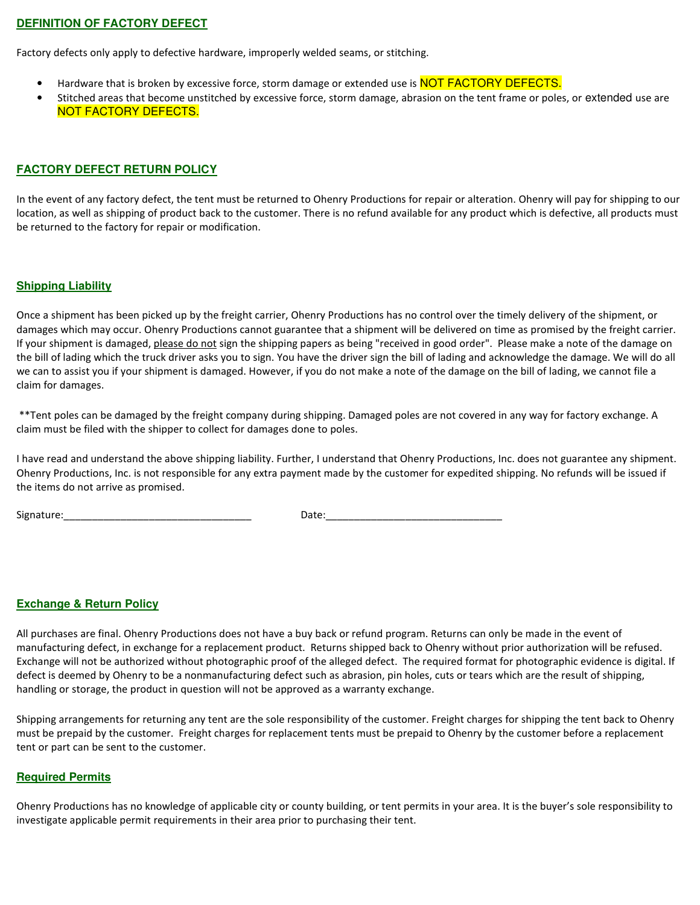# **DEFINITION OF FACTORY DEFECT**

Factory defects only apply to defective hardware, improperly welded seams, or stitching.

- Hardware that is broken by excessive force, storm damage or extended use is **NOT FACTORY DEFECTS.**
- Stitched areas that become unstitched by excessive force, storm damage, abrasion on the tent frame or poles, or extended use are NOT FACTORY DEFECTS.

#### **FACTORY DEFECT RETURN POLICY**

In the event of any factory defect, the tent must be returned to Ohenry Productions for repair or alteration. Ohenry will pay for shipping to our location, as well as shipping of product back to the customer. There is no refund available for any product which is defective, all products must be returned to the factory for repair or modification.

#### **Shipping Liability**

Once a shipment has been picked up by the freight carrier, Ohenry Productions has no control over the timely delivery of the shipment, or damages which may occur. Ohenry Productions cannot guarantee that a shipment will be delivered on time as promised by the freight carrier. If your shipment is damaged, please do not sign the shipping papers as being "received in good order". Please make a note of the damage on the bill of lading which the truck driver asks you to sign. You have the driver sign the bill of lading and acknowledge the damage. We will do all we can to assist you if your shipment is damaged. However, if you do not make a note of the damage on the bill of lading, we cannot file a claim for damages.

 \*\*Tent poles can be damaged by the freight company during shipping. Damaged poles are not covered in any way for factory exchange. A claim must be filed with the shipper to collect for damages done to poles.

I have read and understand the above shipping liability. Further, I understand that Ohenry Productions, Inc. does not guarantee any shipment. Ohenry Productions, Inc. is not responsible for any extra payment made by the customer for expedited shipping. No refunds will be issued if the items do not arrive as promised.

Signature:\_\_\_\_\_\_\_\_\_\_\_\_\_\_\_\_\_\_\_\_\_\_\_\_\_\_\_\_\_\_\_\_\_ Date:\_\_\_\_\_\_\_\_\_\_\_\_\_\_\_\_\_\_\_\_\_\_\_\_\_\_\_\_\_\_\_

#### **Exchange & Return Policy**

All purchases are final. Ohenry Productions does not have a buy back or refund program. Returns can only be made in the event of manufacturing defect, in exchange for a replacement product. Returns shipped back to Ohenry without prior authorization will be refused. Exchange will not be authorized without photographic proof of the alleged defect. The required format for photographic evidence is digital. If defect is deemed by Ohenry to be a nonmanufacturing defect such as abrasion, pin holes, cuts or tears which are the result of shipping, handling or storage, the product in question will not be approved as a warranty exchange.

Shipping arrangements for returning any tent are the sole responsibility of the customer. Freight charges for shipping the tent back to Ohenry must be prepaid by the customer. Freight charges for replacement tents must be prepaid to Ohenry by the customer before a replacement tent or part can be sent to the customer.

#### **Required Permits**

Ohenry Productions has no knowledge of applicable city or county building, or tent permits in your area. It is the buyer's sole responsibility to investigate applicable permit requirements in their area prior to purchasing their tent.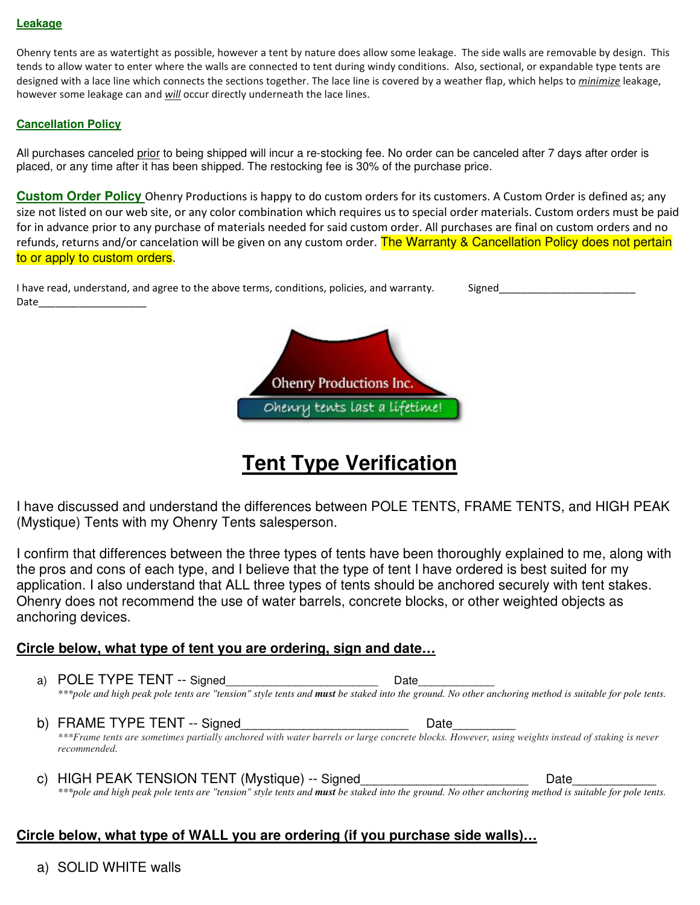## **Leakage**

Ohenry tents are as watertight as possible, however a tent by nature does allow some leakage. The side walls are removable by design. This tends to allow water to enter where the walls are connected to tent during windy conditions. Also, sectional, or expandable type tents are designed with a lace line which connects the sections together. The lace line is covered by a weather flap, which helps to *minimize* leakage, however some leakage can and *will* occur directly underneath the lace lines.

# **Cancellation Policy**

All purchases canceled prior to being shipped will incur a re-stocking fee. No order can be canceled after 7 days after order is placed, or any time after it has been shipped. The restocking fee is 30% of the purchase price.

**Custom Order Policy** Ohenry Productions is happy to do custom orders for its customers. A Custom Order is defined as; any size not listed on our web site, or any color combination which requires us to special order materials. Custom orders must be paid for in advance prior to any purchase of materials needed for said custom order. All purchases are final on custom orders and no refunds, returns and/or cancelation will be given on any custom order. The Warranty & Cancellation Policy does not pertain to or apply to custom orders.

| I have read, understand, and agree to the above terms, conditions, policies, and warranty. | Signed |
|--------------------------------------------------------------------------------------------|--------|
| Date                                                                                       |        |



# **Tent Type Verification**

I have discussed and understand the differences between POLE TENTS, FRAME TENTS, and HIGH PEAK (Mystique) Tents with my Ohenry Tents salesperson.

I confirm that differences between the three types of tents have been thoroughly explained to me, along with the pros and cons of each type, and I believe that the type of tent I have ordered is best suited for my application. I also understand that ALL three types of tents should be anchored securely with tent stakes. Ohenry does not recommend the use of water barrels, concrete blocks, or other weighted objects as anchoring devices.

# **Circle below, what type of tent you are ordering, sign and date…**

a) POLE TYPE TENT -- Signed Date \*\*\*pole and high peak pole tents are "tension" style tents and **must** be staked into the ground. No other anchoring method is suitable for pole tents.

b) FRAME TYPE TENT -- Signed Letter that the control of the Date *\*\*\*Frame tents are sometimes partially anchored with water barrels or large concrete blocks. However, using weights instead of staking is never recommended.*

c) HIGH PEAK TENSION TENT (Mystique) -- Signed\_\_\_\_\_\_\_\_\_\_\_\_\_\_\_\_\_\_\_\_\_\_\_\_\_\_\_\_\_\_\_\_\_Date \*\*\*pole and high peak pole tents are "tension" style tents and **must** be staked into the ground. No other anchoring method is suitable for pole tents.

# **Circle below, what type of WALL you are ordering (if you purchase side walls)…**

a) SOLID WHITE walls